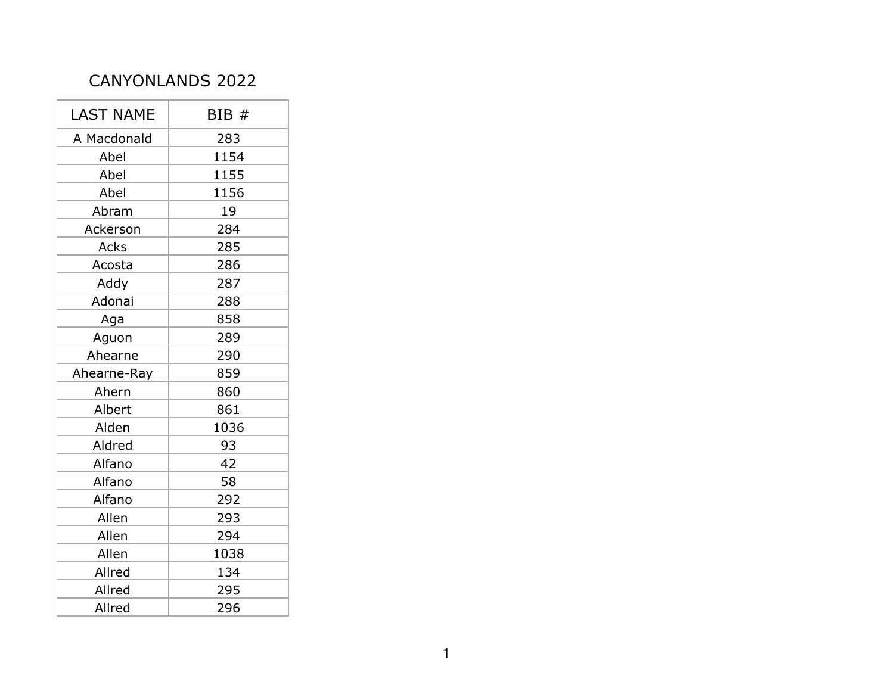## CANYONLANDS 2022

| <b>LAST NAME</b> | BIB# |
|------------------|------|
| A Macdonald      | 283  |
| Abel             | 1154 |
| Abel             | 1155 |
| Abel             | 1156 |
| Abram            | 19   |
| Ackerson         | 284  |
| Acks             | 285  |
| Acosta           | 286  |
| Addy             | 287  |
| Adonai           | 288  |
| Aga              | 858  |
| Aguon            | 289  |
| Ahearne          | 290  |
| Ahearne-Ray      | 859  |
| Ahern            | 860  |
| Albert           | 861  |
| Alden            | 1036 |
| Aldred           | 93   |
| Alfano           | 42   |
| Alfano           | 58   |
| Alfano           | 292  |
| Allen            | 293  |
| Allen            | 294  |
| Allen            | 1038 |
| Allred           | 134  |
| Allred           | 295  |
| Allred           | 296  |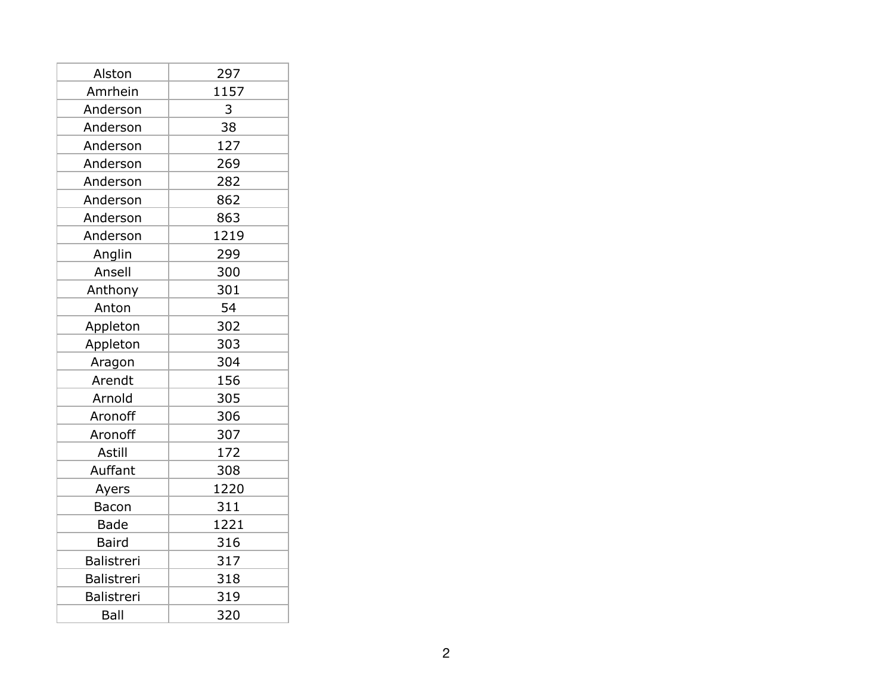| Alston       | 297  |
|--------------|------|
| Amrhein      | 1157 |
| Anderson     | 3    |
| Anderson     | 38   |
| Anderson     | 127  |
| Anderson     | 269  |
| Anderson     | 282  |
| Anderson     | 862  |
| Anderson     | 863  |
| Anderson     | 1219 |
| Anglin       | 299  |
| Ansell       | 300  |
| Anthony      | 301  |
| Anton        | 54   |
| Appleton     | 302  |
| Appleton     | 303  |
| Aragon       | 304  |
| Arendt       | 156  |
| Arnold       | 305  |
| Aronoff      | 306  |
| Aronoff      | 307  |
| Astill       | 172  |
| Auffant      | 308  |
| Ayers        | 1220 |
| Bacon        | 311  |
| <b>Bade</b>  | 1221 |
| <b>Baird</b> | 316  |
| Balistreri   | 317  |
| Balistreri   | 318  |
| Balistreri   | 319  |
| Ball         | 320  |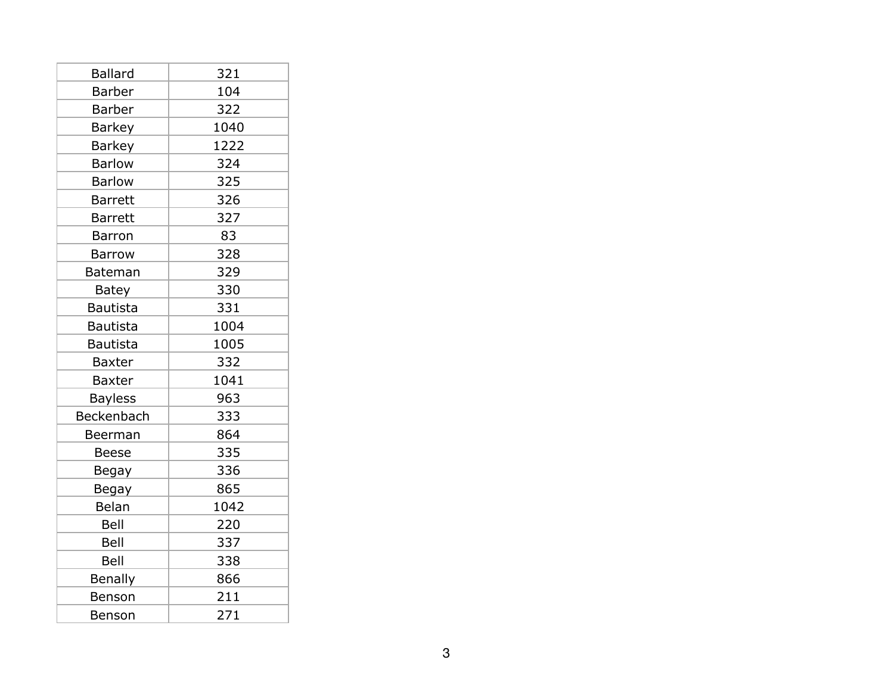| <b>Ballard</b>  | 321  |
|-----------------|------|
| <b>Barber</b>   | 104  |
| <b>Barber</b>   | 322  |
| <b>Barkey</b>   | 1040 |
| <b>Barkey</b>   | 1222 |
| <b>Barlow</b>   | 324  |
| <b>Barlow</b>   | 325  |
| <b>Barrett</b>  | 326  |
| <b>Barrett</b>  | 327  |
| <b>Barron</b>   | 83   |
| <b>Barrow</b>   | 328  |
| <b>Bateman</b>  | 329  |
| <b>Batey</b>    | 330  |
| <b>Bautista</b> | 331  |
| <b>Bautista</b> | 1004 |
| <b>Bautista</b> | 1005 |
| <b>Baxter</b>   | 332  |
| <b>Baxter</b>   | 1041 |
| <b>Bayless</b>  | 963  |
| Beckenbach      | 333  |
| Beerman         | 864  |
| <b>Beese</b>    | 335  |
| Begay           | 336  |
| Begay           | 865  |
| Belan           | 1042 |
| Bell            | 220  |
| Bell            | 337  |
| Bell            | 338  |
| <b>Benally</b>  | 866  |
| Benson          | 211  |
| Benson          | 271  |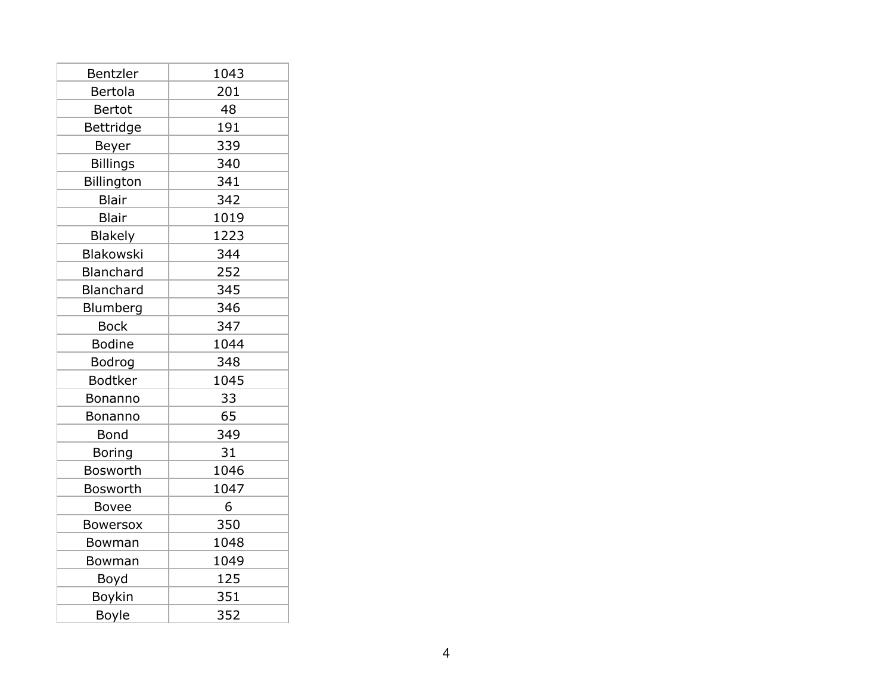| Bentzler         | 1043 |
|------------------|------|
| Bertola          | 201  |
| Bertot           | 48   |
| Bettridge        | 191  |
| Beyer            | 339  |
| <b>Billings</b>  | 340  |
| Billington       | 341  |
| <b>Blair</b>     | 342  |
| <b>Blair</b>     | 1019 |
| <b>Blakely</b>   | 1223 |
| <b>Blakowski</b> | 344  |
| Blanchard        | 252  |
| Blanchard        | 345  |
| Blumberg         | 346  |
| <b>Bock</b>      | 347  |
| <b>Bodine</b>    | 1044 |
| Bodrog           | 348  |
| <b>Bodtker</b>   | 1045 |
| Bonanno          | 33   |
| Bonanno          | 65   |
| Bond             | 349  |
| Boring           | 31   |
| <b>Bosworth</b>  | 1046 |
| <b>Bosworth</b>  | 1047 |
| <b>Bovee</b>     | 6    |
| <b>Bowersox</b>  | 350  |
| Bowman           | 1048 |
| Bowman           | 1049 |
| Boyd             | 125  |
| Boykin           | 351  |
| Boyle            | 352  |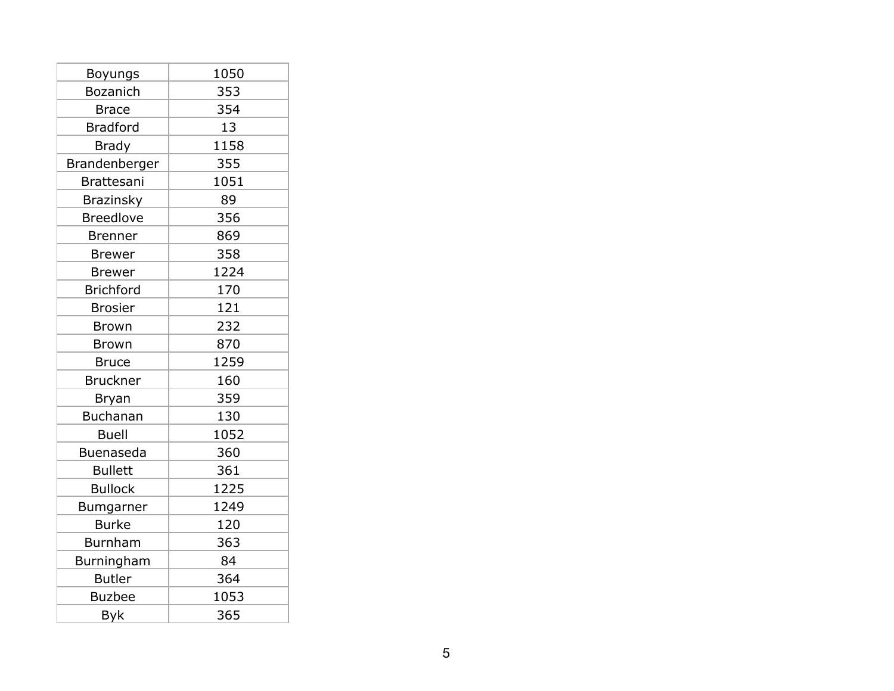| Boyungs           | 1050 |
|-------------------|------|
| <b>Bozanich</b>   | 353  |
| <b>Brace</b>      | 354  |
| <b>Bradford</b>   | 13   |
| <b>Brady</b>      | 1158 |
| Brandenberger     | 355  |
| <b>Brattesani</b> | 1051 |
| <b>Brazinsky</b>  | 89   |
| <b>Breedlove</b>  | 356  |
| <b>Brenner</b>    | 869  |
| <b>Brewer</b>     | 358  |
| <b>Brewer</b>     | 1224 |
| <b>Brichford</b>  | 170  |
| <b>Brosier</b>    | 121  |
| <b>Brown</b>      | 232  |
| <b>Brown</b>      | 870  |
| <b>Bruce</b>      | 1259 |
| <b>Bruckner</b>   | 160  |
| Bryan             | 359  |
| <b>Buchanan</b>   | 130  |
| <b>Buell</b>      | 1052 |
| <b>Buenaseda</b>  | 360  |
| <b>Bullett</b>    | 361  |
| <b>Bullock</b>    | 1225 |
| Bumgarner         | 1249 |
| <b>Burke</b>      | 120  |
| <b>Burnham</b>    | 363  |
| Burningham        | 84   |
| <b>Butler</b>     | 364  |
| <b>Buzbee</b>     | 1053 |
| <b>Byk</b>        | 365  |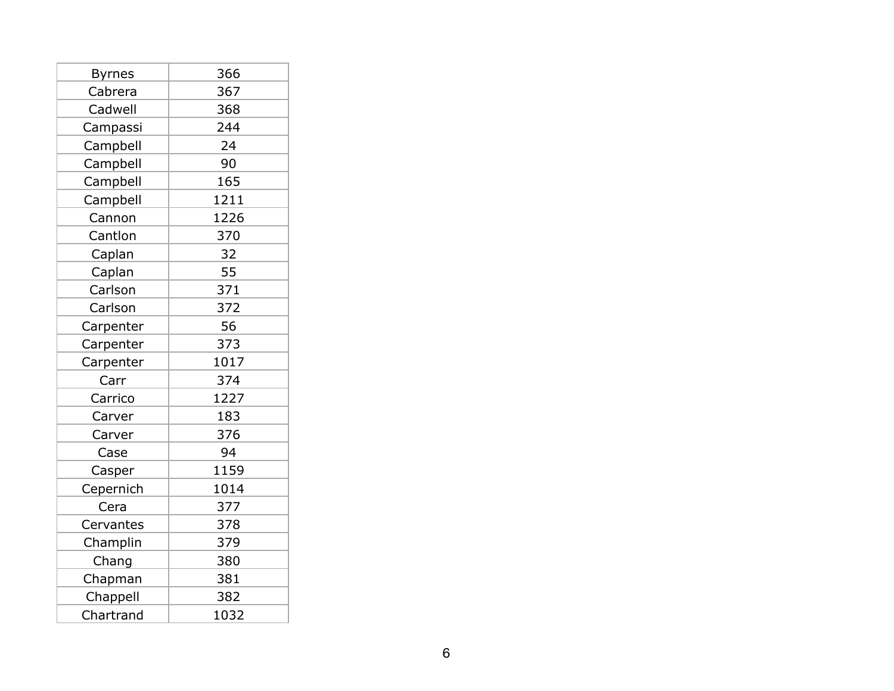| <b>Byrnes</b> | 366  |
|---------------|------|
| Cabrera       | 367  |
| Cadwell       | 368  |
| Campassi      | 244  |
| Campbell      | 24   |
| Campbell      | 90   |
| Campbell      | 165  |
| Campbell      | 1211 |
| Cannon        | 1226 |
| Cantlon       | 370  |
| Caplan        | 32   |
| Caplan        | 55   |
| Carlson       | 371  |
| Carlson       | 372  |
| Carpenter     | 56   |
| Carpenter     | 373  |
| Carpenter     | 1017 |
| Carr          | 374  |
| Carrico       | 1227 |
| Carver        | 183  |
| Carver        | 376  |
| Case          | 94   |
| Casper        | 1159 |
| Cepernich     | 1014 |
| Cera          | 377  |
| Cervantes     | 378  |
| Champlin      | 379  |
| Chang         | 380  |
| Chapman       | 381  |
| Chappell      | 382  |
| Chartrand     | 1032 |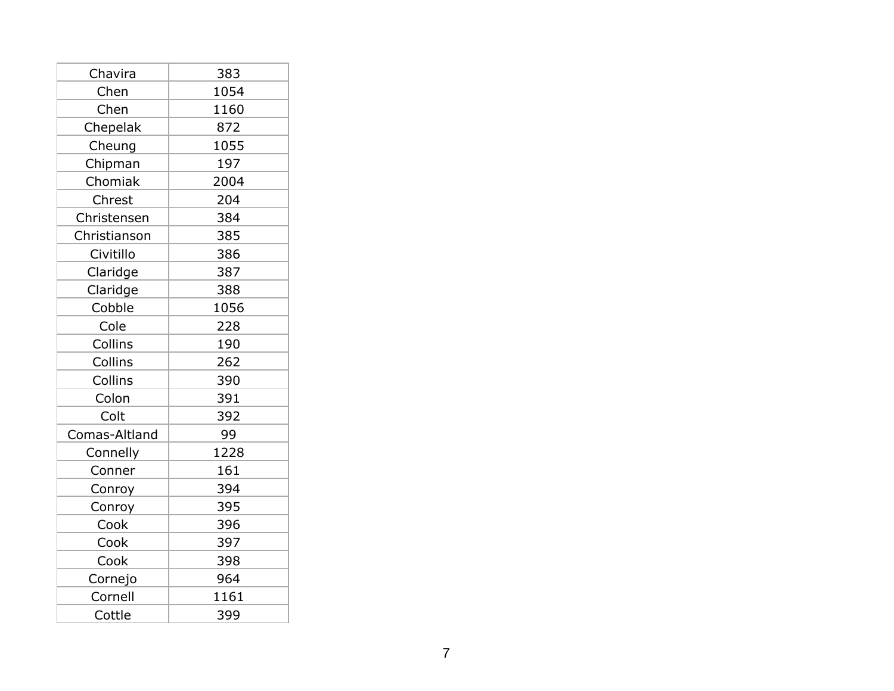| Chavira       | 383  |
|---------------|------|
| Chen          | 1054 |
| Chen          | 1160 |
| Chepelak      | 872  |
| Cheung        | 1055 |
| Chipman       | 197  |
| Chomiak       | 2004 |
| Chrest        | 204  |
| Christensen   | 384  |
| Christianson  | 385  |
| Civitillo     | 386  |
| Claridge      | 387  |
| Claridge      | 388  |
| Cobble        | 1056 |
| Cole          | 228  |
| Collins       | 190  |
| Collins       | 262  |
| Collins       | 390  |
| Colon         | 391  |
| Colt          | 392  |
| Comas-Altland | 99   |
| Connelly      | 1228 |
| Conner        | 161  |
| Conroy        | 394  |
| Conroy        | 395  |
| Cook          | 396  |
| Cook          | 397  |
| Cook          | 398  |
| Cornejo       | 964  |
| Cornell       | 1161 |
| Cottle        | 399  |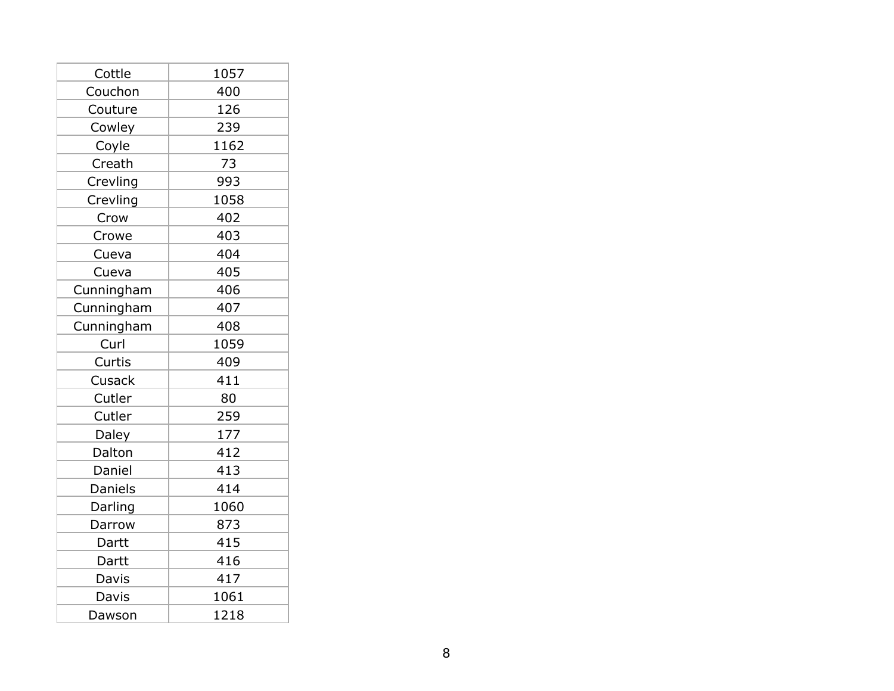| Cottle     | 1057 |
|------------|------|
| Couchon    | 400  |
| Couture    | 126  |
| Cowley     | 239  |
| Coyle      | 1162 |
| Creath     | 73   |
| Crevling   | 993  |
| Crevling   | 1058 |
| Crow       | 402  |
| Crowe      | 403  |
| Cueva      | 404  |
| Cueva      | 405  |
| Cunningham | 406  |
| Cunningham | 407  |
| Cunningham | 408  |
| Curl       | 1059 |
| Curtis     | 409  |
| Cusack     | 411  |
| Cutler     | 80   |
| Cutler     | 259  |
| Daley      | 177  |
| Dalton     | 412  |
| Daniel     | 413  |
| Daniels    | 414  |
| Darling    | 1060 |
| Darrow     | 873  |
| Dartt      | 415  |
| Dartt      | 416  |
| Davis      | 417  |
| Davis      | 1061 |
| Dawson     | 1218 |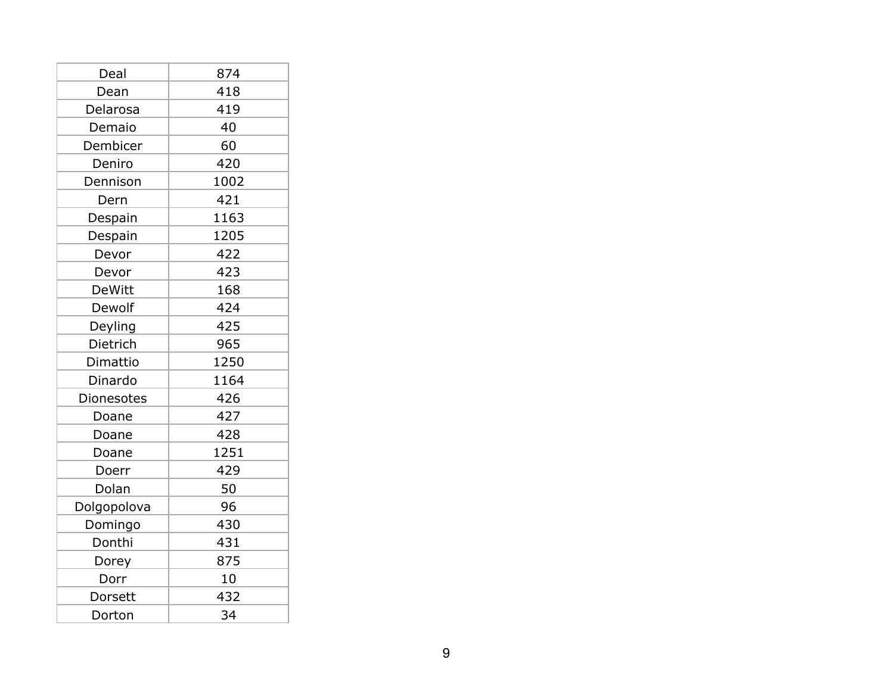| Deal          | 874  |
|---------------|------|
| Dean          | 418  |
| Delarosa      | 419  |
| Demaio        | 40   |
| Dembicer      | 60   |
| Deniro        | 420  |
| Dennison      | 1002 |
| Dern          | 421  |
| Despain       | 1163 |
| Despain       | 1205 |
| Devor         | 422  |
| Devor         | 423  |
| <b>DeWitt</b> | 168  |
| Dewolf        | 424  |
| Deyling       | 425  |
| Dietrich      | 965  |
| Dimattio      | 1250 |
| Dinardo       | 1164 |
| Dionesotes    | 426  |
| Doane         | 427  |
| Doane         | 428  |
| Doane         | 1251 |
| Doerr         | 429  |
| Dolan         | 50   |
| Dolgopolova   | 96   |
| Domingo       | 430  |
| Donthi        | 431  |
| Dorey         | 875  |
| Dorr          | 10   |
| Dorsett       | 432  |
| Dorton        | 34   |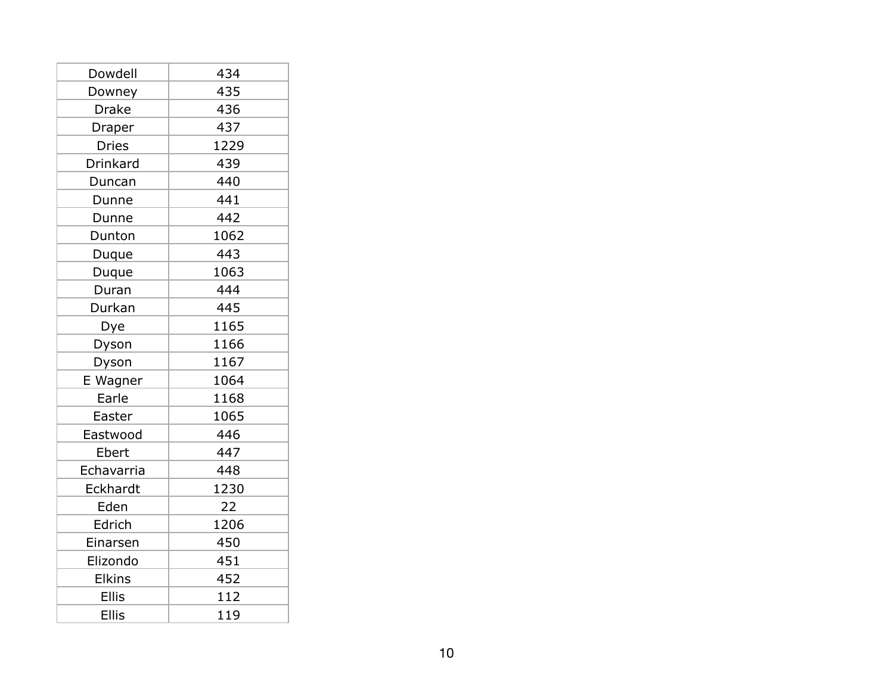| Dowdell       | 434  |
|---------------|------|
| Downey        | 435  |
| Drake         | 436  |
| Draper        | 437  |
| <b>Dries</b>  | 1229 |
| Drinkard      | 439  |
| Duncan        | 440  |
| Dunne         | 441  |
| Dunne         | 442  |
| Dunton        | 1062 |
| Duque         | 443  |
| Duque         | 1063 |
| Duran         | 444  |
| Durkan        | 445  |
| Dye           | 1165 |
| Dyson         | 1166 |
| Dyson         | 1167 |
| E Wagner      | 1064 |
| Earle         | 1168 |
| Easter        | 1065 |
| Eastwood      | 446  |
| Ebert         | 447  |
| Echavarria    | 448  |
| Eckhardt      | 1230 |
| Eden          | 22   |
| Edrich        | 1206 |
| Einarsen      | 450  |
| Elizondo      | 451  |
| <b>Elkins</b> | 452  |
| <b>Ellis</b>  | 112  |
| <b>Ellis</b>  | 119  |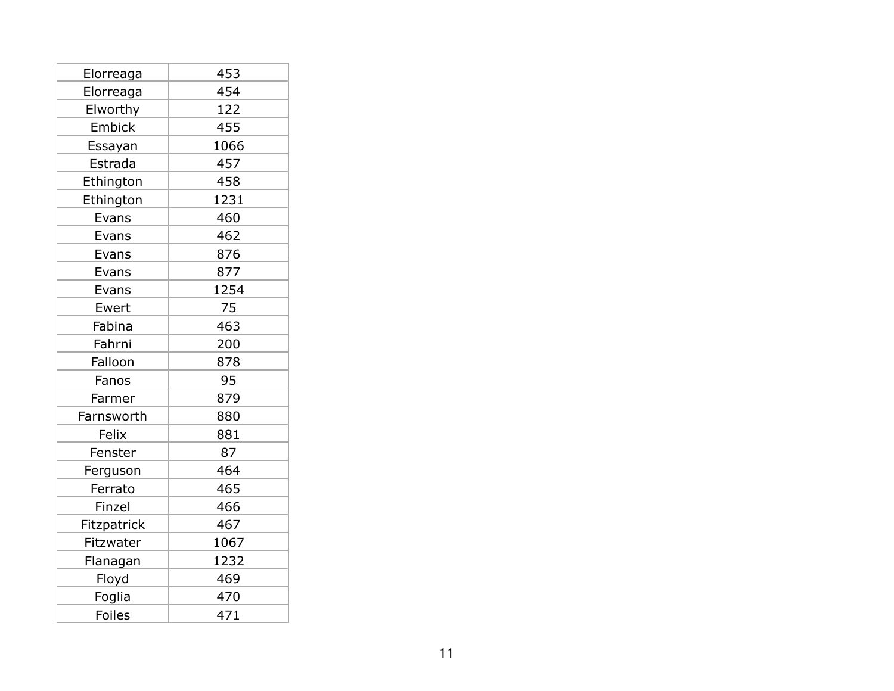| Elorreaga   | 453  |
|-------------|------|
| Elorreaga   | 454  |
| Elworthy    | 122  |
| Embick      | 455  |
| Essayan     | 1066 |
| Estrada     | 457  |
| Ethington   | 458  |
| Ethington   | 1231 |
| Evans       | 460  |
| Evans       | 462  |
| Evans       | 876  |
| Evans       | 877  |
| Evans       | 1254 |
| Ewert       | 75   |
| Fabina      | 463  |
| Fahrni      | 200  |
| Falloon     | 878  |
| Fanos       | 95   |
| Farmer      | 879  |
| Farnsworth  | 880  |
| Felix       | 881  |
| Fenster     | 87   |
| Ferguson    | 464  |
| Ferrato     | 465  |
| Finzel      | 466  |
| Fitzpatrick | 467  |
| Fitzwater   | 1067 |
| Flanagan    | 1232 |
| Floyd       | 469  |
| Foglia      | 470  |
| Foiles      | 471  |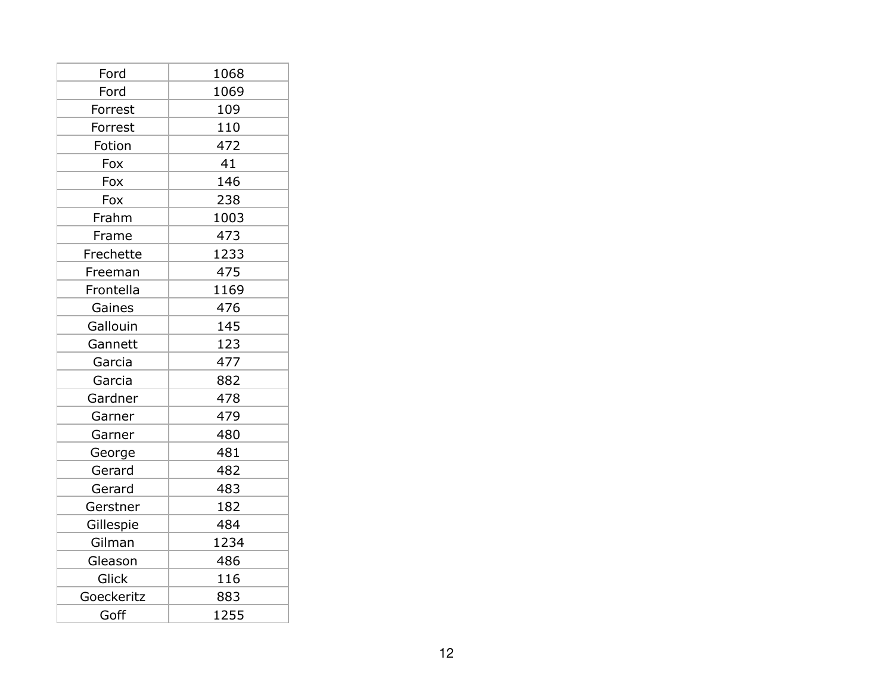| Ford       | 1068 |
|------------|------|
| Ford       | 1069 |
| Forrest    | 109  |
| Forrest    | 110  |
| Fotion     | 472  |
| Fox        | 41   |
| Fox        | 146  |
| Fox        | 238  |
| Frahm      | 1003 |
| Frame      | 473  |
| Frechette  | 1233 |
| Freeman    | 475  |
| Frontella  | 1169 |
| Gaines     | 476  |
| Gallouin   | 145  |
| Gannett    | 123  |
| Garcia     | 477  |
| Garcia     | 882  |
| Gardner    | 478  |
| Garner     | 479  |
| Garner     | 480  |
| George     | 481  |
| Gerard     | 482  |
| Gerard     | 483  |
| Gerstner   | 182  |
| Gillespie  | 484  |
| Gilman     | 1234 |
| Gleason    | 486  |
| Glick      | 116  |
| Goeckeritz | 883  |
| Goff       | 1255 |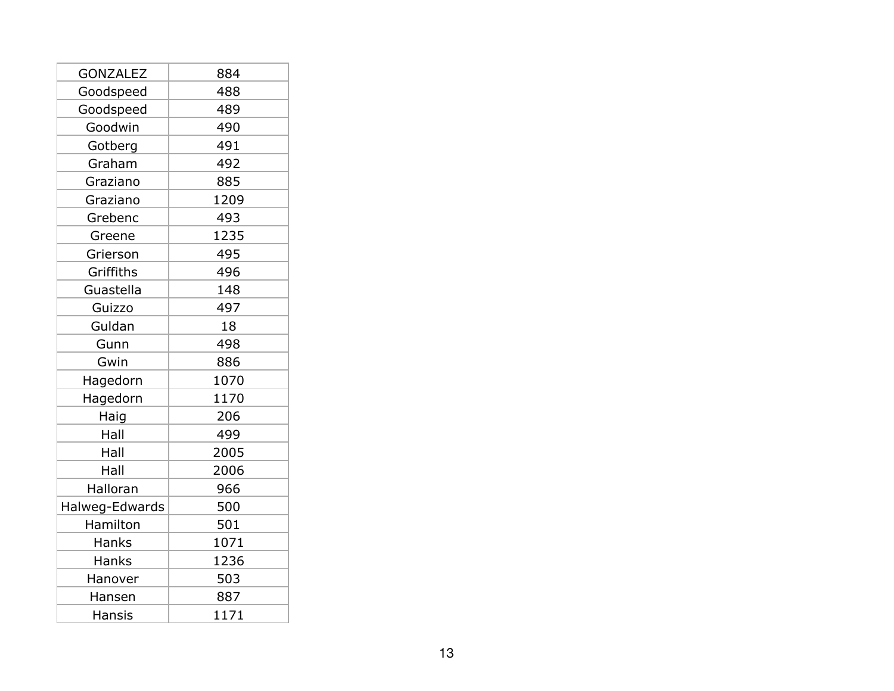| <b>GONZALEZ</b> | 884  |
|-----------------|------|
| Goodspeed       | 488  |
| Goodspeed       | 489  |
| Goodwin         | 490  |
| Gotberg         | 491  |
| Graham          | 492  |
| Graziano        | 885  |
| Graziano        | 1209 |
| Grebenc         | 493  |
| Greene          | 1235 |
| Grierson        | 495  |
| Griffiths       | 496  |
| Guastella       | 148  |
| Guizzo          | 497  |
| Guldan          | 18   |
| Gunn            | 498  |
| Gwin            | 886  |
| Hagedorn        | 1070 |
| Hagedorn        | 1170 |
| Haig            | 206  |
| Hall            | 499  |
| Hall            | 2005 |
| Hall            | 2006 |
| Halloran        | 966  |
| Halweg-Edwards  | 500  |
| Hamilton        | 501  |
| Hanks           | 1071 |
| Hanks           | 1236 |
| Hanover         | 503  |
| Hansen          | 887  |
| <b>Hansis</b>   | 1171 |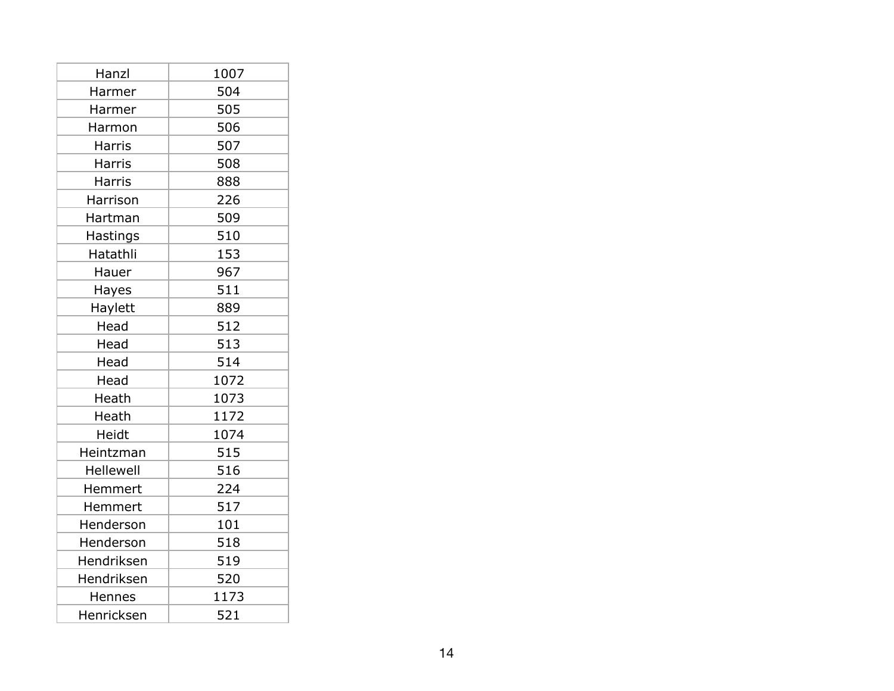| Hanzl            | 1007 |
|------------------|------|
| Harmer           | 504  |
| Harmer           | 505  |
| Harmon           | 506  |
| <b>Harris</b>    | 507  |
| <b>Harris</b>    | 508  |
| <b>Harris</b>    | 888  |
| Harrison         | 226  |
| Hartman          | 509  |
| Hastings         | 510  |
| Hatathli         | 153  |
| Hauer            | 967  |
| Hayes            | 511  |
| Haylett          | 889  |
| Head             | 512  |
| Head             | 513  |
| Head             | 514  |
| Head             | 1072 |
| Heath            | 1073 |
| Heath            | 1172 |
| Heidt            | 1074 |
| Heintzman        | 515  |
| <b>Hellewell</b> | 516  |
| Hemmert          | 224  |
| Hemmert          | 517  |
| Henderson        | 101  |
| Henderson        | 518  |
| Hendriksen       | 519  |
| Hendriksen       | 520  |
| Hennes           | 1173 |
| Henricksen       | 521  |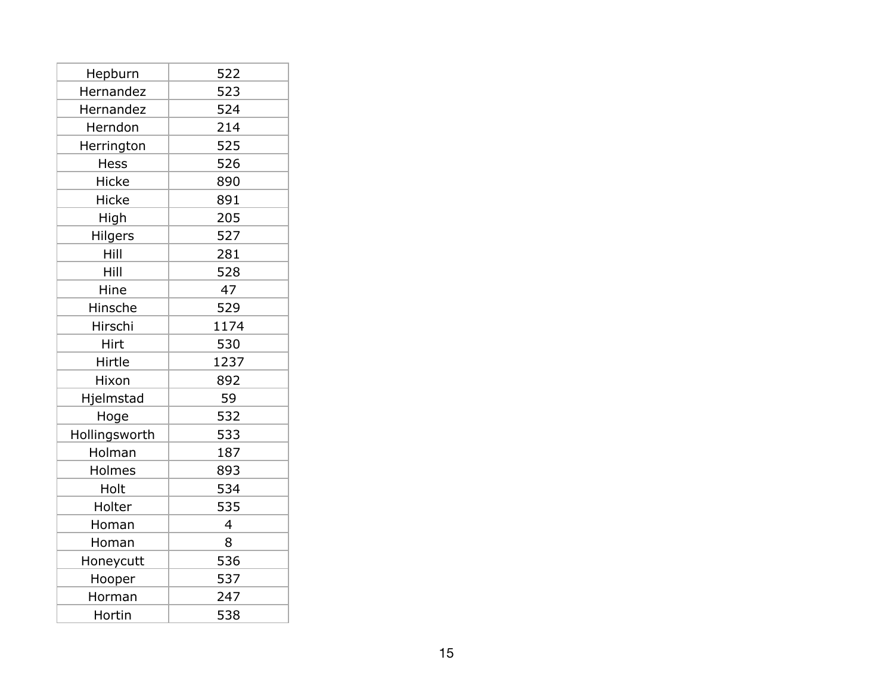| Hepburn        | 522  |
|----------------|------|
| Hernandez      | 523  |
| Hernandez      | 524  |
| Herndon        | 214  |
| Herrington     | 525  |
| Hess           | 526  |
| Hicke          | 890  |
| <b>Hicke</b>   | 891  |
| High           | 205  |
| <b>Hilgers</b> | 527  |
| Hill           | 281  |
| Hill           | 528  |
| Hine           | 47   |
| Hinsche        | 529  |
| Hirschi        | 1174 |
| Hirt           | 530  |
| Hirtle         | 1237 |
| Hixon          | 892  |
| Hjelmstad      | 59   |
| Hoge           | 532  |
| Hollingsworth  | 533  |
| Holman         | 187  |
| Holmes         | 893  |
| Holt           | 534  |
| Holter         | 535  |
| Homan          | 4    |
| Homan          | 8    |
| Honeycutt      | 536  |
| Hooper         | 537  |
| Horman         | 247  |
| Hortin         | 538  |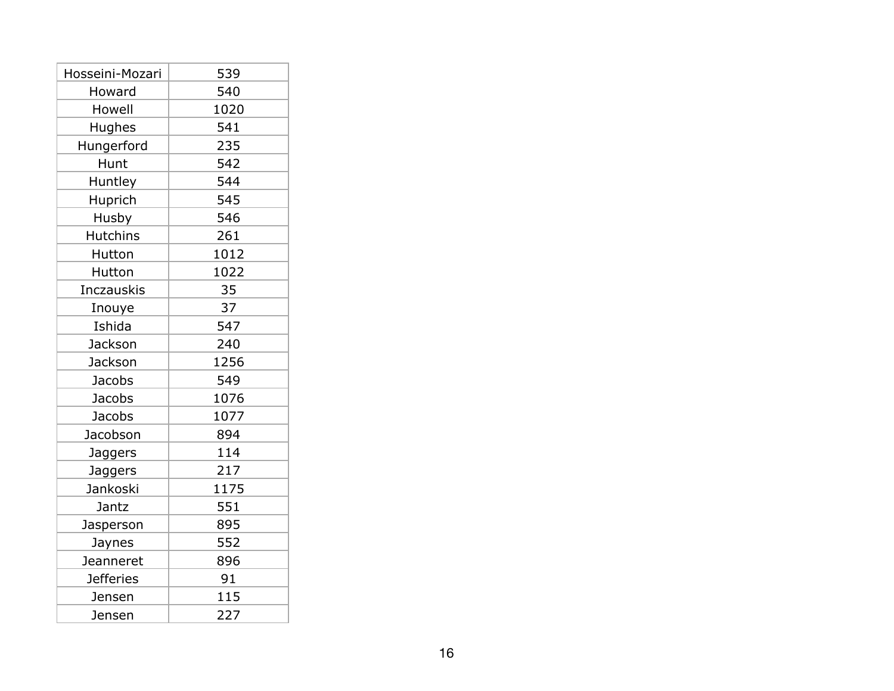| Hosseini-Mozari   | 539  |
|-------------------|------|
| Howard            | 540  |
| Howell            | 1020 |
| Hughes            | 541  |
| Hungerford        | 235  |
| Hunt              | 542  |
| Huntley           | 544  |
| Huprich           | 545  |
| Husby             | 546  |
| <b>Hutchins</b>   | 261  |
| Hutton            | 1012 |
| Hutton            | 1022 |
| <b>Inczauskis</b> | 35   |
| Inouye            | 37   |
| Ishida            | 547  |
| Jackson           | 240  |
| Jackson           | 1256 |
| Jacobs            | 549  |
| <b>Jacobs</b>     | 1076 |
| Jacobs            | 1077 |
| Jacobson          | 894  |
| Jaggers           | 114  |
| Jaggers           | 217  |
| Jankoski          | 1175 |
| Jantz             | 551  |
| Jasperson         | 895  |
| Jaynes            | 552  |
| Jeanneret         | 896  |
| <b>Jefferies</b>  | 91   |
| Jensen            | 115  |
| Jensen            | 227  |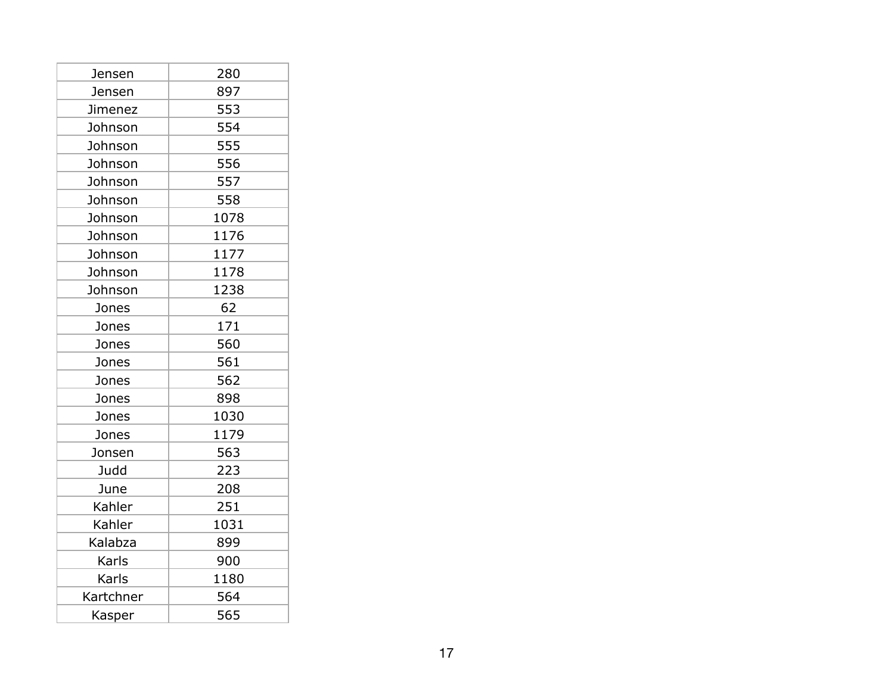| Jensen    | 280  |
|-----------|------|
| Jensen    | 897  |
| Jimenez   | 553  |
| Johnson   | 554  |
| Johnson   | 555  |
| Johnson   | 556  |
| Johnson   | 557  |
| Johnson   | 558  |
| Johnson   | 1078 |
| Johnson   | 1176 |
| Johnson   | 1177 |
| Johnson   | 1178 |
| Johnson   | 1238 |
| Jones     | 62   |
| Jones     | 171  |
| Jones     | 560  |
| Jones     | 561  |
| Jones     | 562  |
| Jones     | 898  |
| Jones     | 1030 |
| Jones     | 1179 |
| Jonsen    | 563  |
| Judd      | 223  |
| June      | 208  |
| Kahler    | 251  |
| Kahler    | 1031 |
| Kalabza   | 899  |
| Karls     | 900  |
| Karls     | 1180 |
| Kartchner | 564  |
| Kasper    | 565  |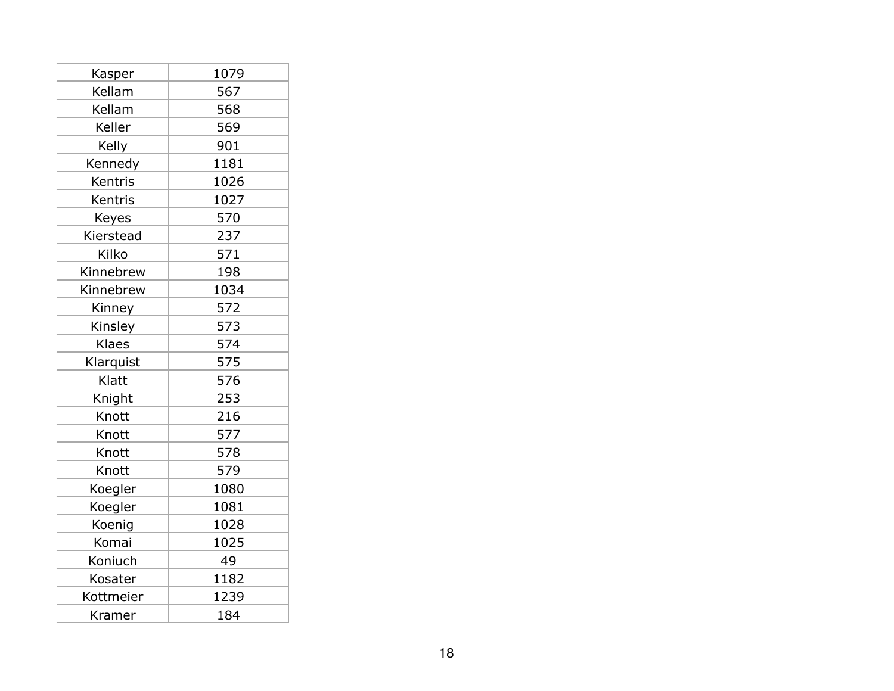| Kasper    | 1079 |
|-----------|------|
| Kellam    | 567  |
| Kellam    | 568  |
| Keller    | 569  |
| Kelly     | 901  |
| Kennedy   | 1181 |
| Kentris   | 1026 |
| Kentris   | 1027 |
| Keyes     | 570  |
| Kierstead | 237  |
| Kilko     | 571  |
| Kinnebrew | 198  |
| Kinnebrew | 1034 |
| Kinney    | 572  |
| Kinsley   | 573  |
| Klaes     | 574  |
| Klarquist | 575  |
| Klatt     | 576  |
| Knight    | 253  |
| Knott     | 216  |
| Knott     | 577  |
| Knott     | 578  |
| Knott     | 579  |
| Koegler   | 1080 |
| Koegler   | 1081 |
| Koenig    | 1028 |
| Komai     | 1025 |
| Koniuch   | 49   |
| Kosater   | 1182 |
| Kottmeier | 1239 |
| Kramer    | 184  |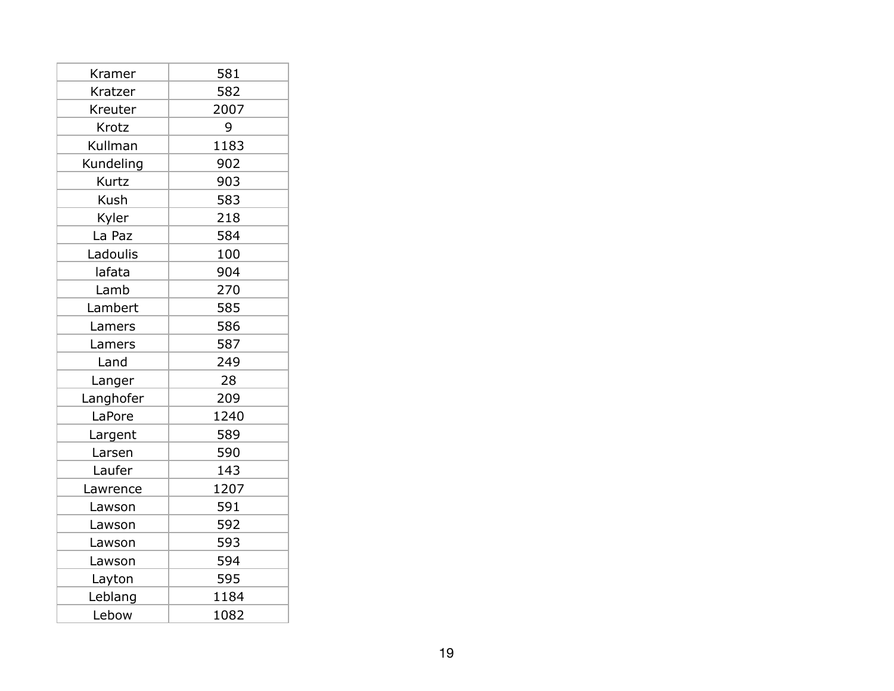| Kramer      | 581  |
|-------------|------|
| Kratzer     | 582  |
| Kreuter     | 2007 |
| Krotz       | 9    |
| Kullman     | 1183 |
| Kundeling   | 902  |
| Kurtz       | 903  |
| <b>Kush</b> | 583  |
| Kyler       | 218  |
| La Paz      | 584  |
| Ladoulis    | 100  |
| lafata      | 904  |
| Lamb        | 270  |
| Lambert     | 585  |
| Lamers      | 586  |
| Lamers      | 587  |
| Land        | 249  |
| Langer      | 28   |
| Langhofer   | 209  |
| LaPore      | 1240 |
| Largent     | 589  |
| Larsen      | 590  |
| Laufer      | 143  |
| Lawrence    | 1207 |
| Lawson      | 591  |
| Lawson      | 592  |
| Lawson      | 593  |
| Lawson      | 594  |
| Layton      | 595  |
| Leblang     | 1184 |
| Lebow       | 1082 |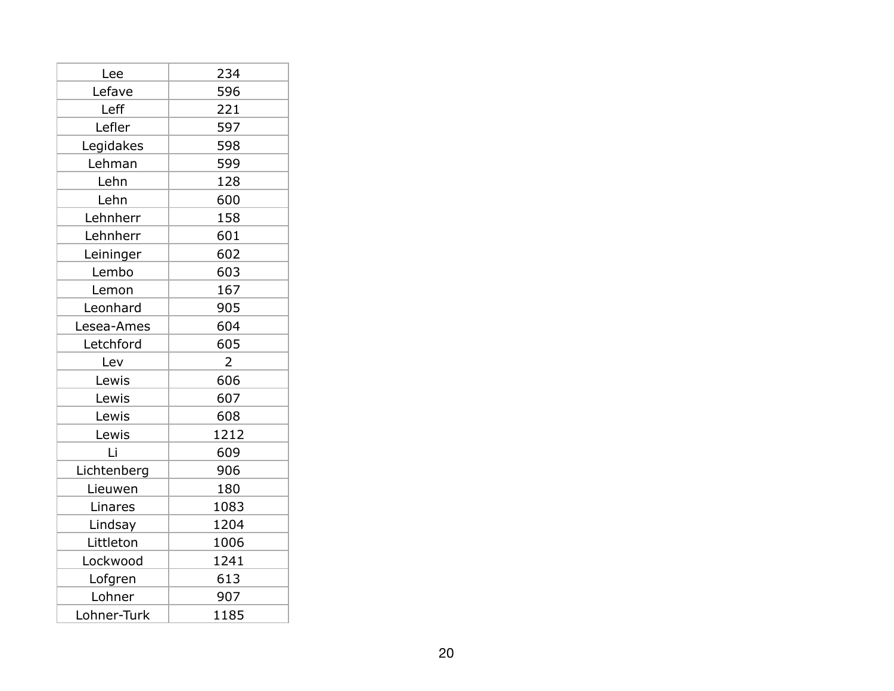| Lee         | 234            |
|-------------|----------------|
| Lefave      | 596            |
| Leff        | 221            |
| Lefler      | 597            |
| Legidakes   | 598            |
| Lehman      | 599            |
| Lehn        | 128            |
| Lehn        | 600            |
| Lehnherr    | 158            |
| Lehnherr    | 601            |
| Leininger   | 602            |
| Lembo       | 603            |
| Lemon       | 167            |
| Leonhard    | 905            |
| Lesea-Ames  | 604            |
| Letchford   | 605            |
| Lev         | $\overline{2}$ |
| Lewis       | 606            |
| Lewis       | 607            |
| Lewis       | 608            |
| Lewis       | 1212           |
| Li          | 609            |
| Lichtenberg | 906            |
| Lieuwen     | 180            |
| Linares     | 1083           |
| Lindsay     | 1204           |
| Littleton   | 1006           |
| Lockwood    | 1241           |
| Lofgren     | 613            |
| Lohner      | 907            |
| Lohner-Turk | 1185           |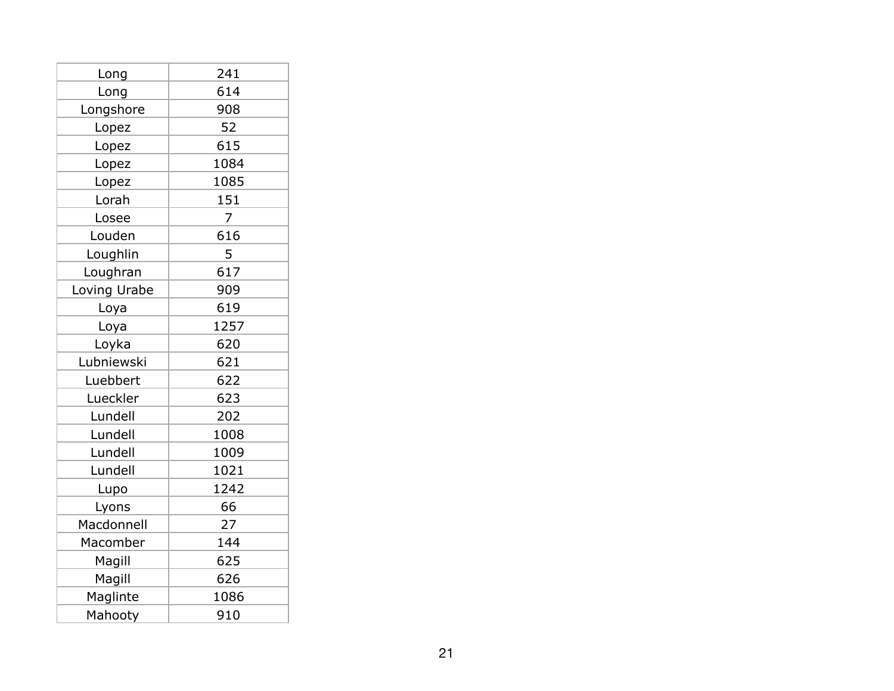| Long         | 241  |
|--------------|------|
| Long         | 614  |
| Longshore    | 908  |
| Lopez        | 52   |
| Lopez        | 615  |
| Lopez        | 1084 |
| Lopez        | 1085 |
| Lorah        | 151  |
| Losee        | 7    |
| Louden       | 616  |
| Loughlin     | 5    |
| Loughran     | 617  |
| Loving Urabe | 909  |
| Loya         | 619  |
| Loya         | 1257 |
| Loyka        | 620  |
| Lubniewski   | 621  |
| Luebbert     | 622  |
| Lueckler     | 623  |
| Lundell      | 202  |
| Lundell      | 1008 |
| Lundell      | 1009 |
| Lundell      | 1021 |
| Lupo         | 1242 |
| Lyons        | 66   |
| Macdonnell   | 27   |
| Macomber     | 144  |
| Magill       | 625  |
| Magill       | 626  |
| Maglinte     | 1086 |
| Mahooty      | 910  |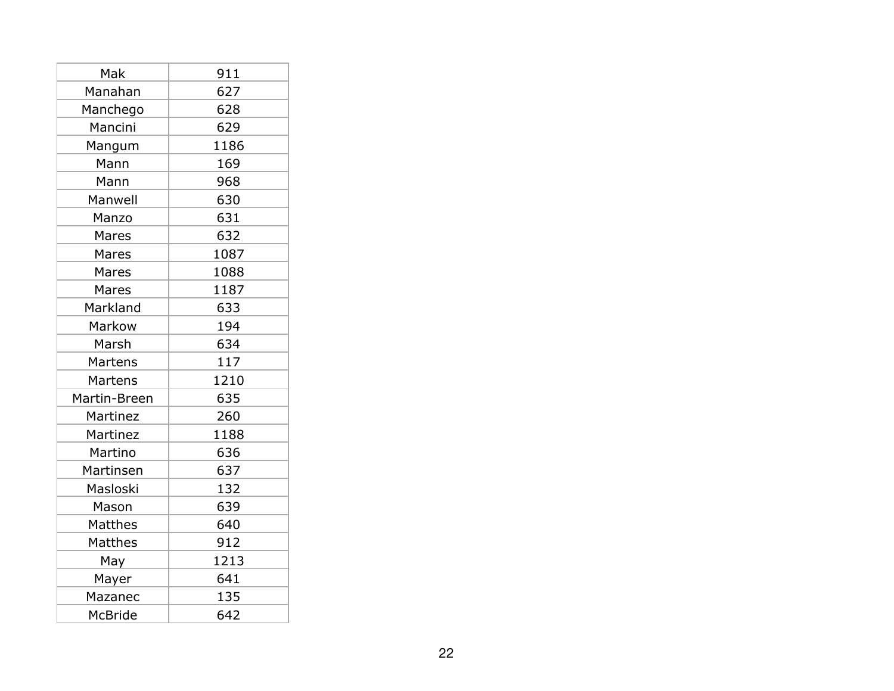| Mak          | 911  |
|--------------|------|
| Manahan      | 627  |
| Manchego     | 628  |
| Mancini      | 629  |
| Mangum       | 1186 |
| Mann         | 169  |
| Mann         | 968  |
| Manwell      | 630  |
| Manzo        | 631  |
| Mares        | 632  |
| Mares        | 1087 |
| Mares        | 1088 |
| Mares        | 1187 |
| Markland     | 633  |
| Markow       | 194  |
| Marsh        | 634  |
| Martens      | 117  |
| Martens      | 1210 |
| Martin-Breen | 635  |
| Martinez     | 260  |
| Martinez     | 1188 |
| Martino      | 636  |
| Martinsen    | 637  |
| Masloski     | 132  |
| Mason        | 639  |
| Matthes      | 640  |
| Matthes      | 912  |
| May          | 1213 |
| Mayer        | 641  |
| Mazanec      | 135  |
| McBride      | 642  |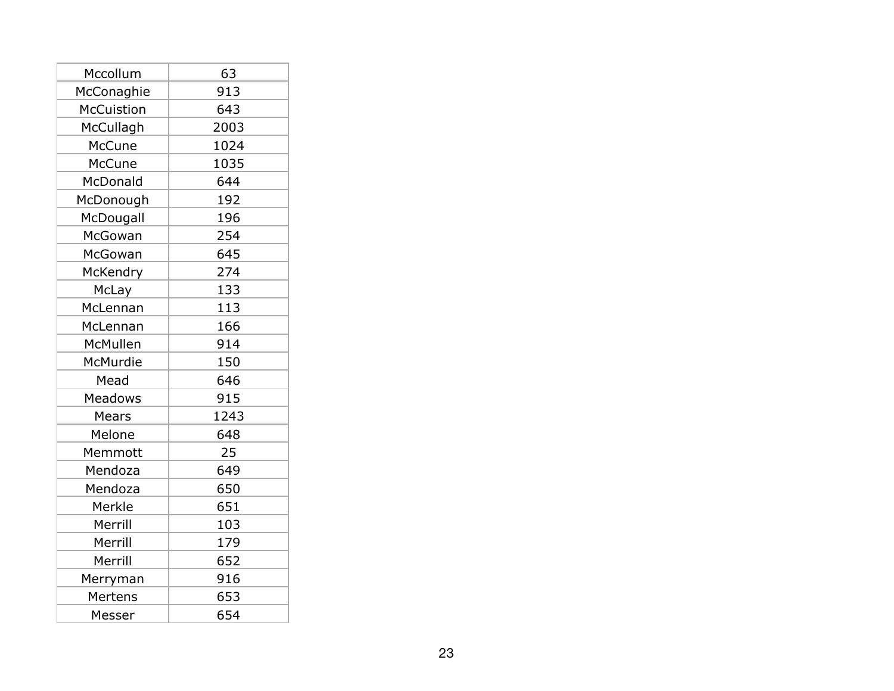| Mccollum          | 63   |
|-------------------|------|
| McConaghie        | 913  |
| <b>McCuistion</b> | 643  |
| McCullagh         | 2003 |
| McCune            | 1024 |
| McCune            | 1035 |
| McDonald          | 644  |
| McDonough         | 192  |
| McDougall         | 196  |
| McGowan           | 254  |
| McGowan           | 645  |
| McKendry          | 274  |
| McLay             | 133  |
| McLennan          | 113  |
| McLennan          | 166  |
| McMullen          | 914  |
| McMurdie          | 150  |
| Mead              | 646  |
| <b>Meadows</b>    | 915  |
| Mears             | 1243 |
| Melone            | 648  |
| Memmott           | 25   |
| Mendoza           | 649  |
| Mendoza           | 650  |
| Merkle            | 651  |
| Merrill           | 103  |
| Merrill           | 179  |
| Merrill           | 652  |
| Merryman          | 916  |
| Mertens           | 653  |
| Messer            | 654  |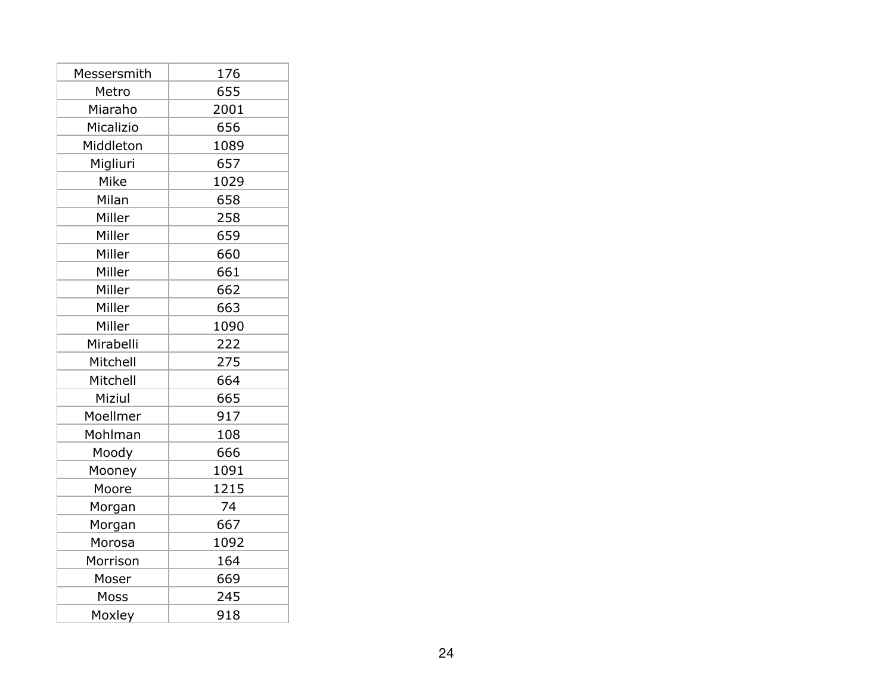| Messersmith | 176  |
|-------------|------|
| Metro       | 655  |
| Miaraho     | 2001 |
| Micalizio   | 656  |
| Middleton   | 1089 |
| Migliuri    | 657  |
| Mike        | 1029 |
| Milan       | 658  |
| Miller      | 258  |
| Miller      | 659  |
| Miller      | 660  |
| Miller      | 661  |
| Miller      | 662  |
| Miller      | 663  |
| Miller      | 1090 |
| Mirabelli   | 222  |
| Mitchell    | 275  |
| Mitchell    | 664  |
| Miziul      | 665  |
| Moellmer    | 917  |
| Mohlman     | 108  |
| Moody       | 666  |
| Mooney      | 1091 |
| Moore       | 1215 |
| Morgan      | 74   |
| Morgan      | 667  |
| Morosa      | 1092 |
| Morrison    | 164  |
| Moser       | 669  |
| Moss        | 245  |
| Moxley      | 918  |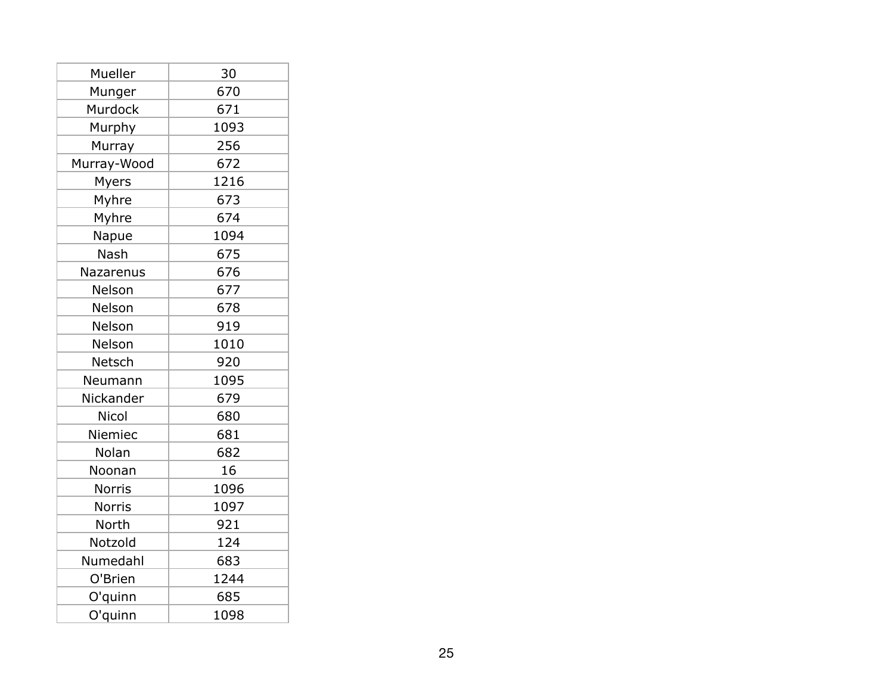| Mueller       | 30   |
|---------------|------|
| Munger        | 670  |
| Murdock       | 671  |
| Murphy        | 1093 |
| Murray        | 256  |
| Murray-Wood   | 672  |
| Myers         | 1216 |
| Myhre         | 673  |
| Myhre         | 674  |
| Napue         | 1094 |
| Nash          | 675  |
| Nazarenus     | 676  |
| Nelson        | 677  |
| Nelson        | 678  |
| Nelson        | 919  |
| Nelson        | 1010 |
| Netsch        | 920  |
| Neumann       | 1095 |
| Nickander     | 679  |
| Nicol         | 680  |
| Niemiec       | 681  |
| Nolan         | 682  |
| Noonan        | 16   |
| <b>Norris</b> | 1096 |
| <b>Norris</b> | 1097 |
| North         | 921  |
| Notzold       | 124  |
| Numedahl      | 683  |
| O'Brien       | 1244 |
| O'quinn       | 685  |
| O'quinn       | 1098 |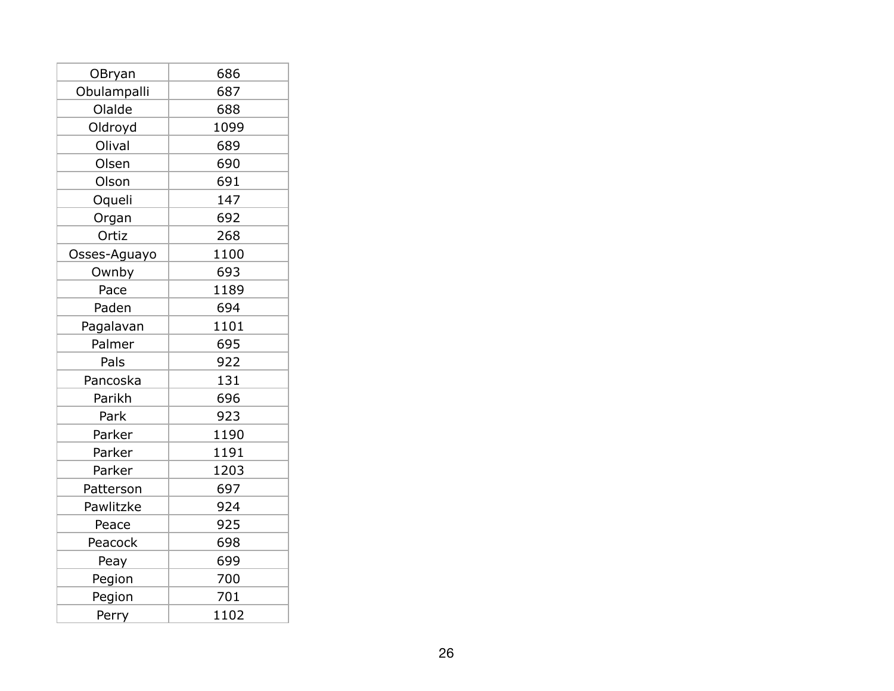| OBryan       | 686  |
|--------------|------|
| Obulampalli  | 687  |
| Olalde       | 688  |
| Oldroyd      | 1099 |
| Olival       | 689  |
| Olsen        | 690  |
| Olson        | 691  |
| Oqueli       | 147  |
| Organ        | 692  |
| Ortiz        | 268  |
| Osses-Aguayo | 1100 |
| Ownby        | 693  |
| Pace         | 1189 |
| Paden        | 694  |
| Pagalavan    | 1101 |
| Palmer       | 695  |
| Pals         | 922  |
| Pancoska     | 131  |
| Parikh       | 696  |
| Park         | 923  |
| Parker       | 1190 |
| Parker       | 1191 |
| Parker       | 1203 |
| Patterson    | 697  |
| Pawlitzke    | 924  |
| Peace        | 925  |
| Peacock      | 698  |
| Peay         | 699  |
| Pegion       | 700  |
| Pegion       | 701  |
| Perry        | 1102 |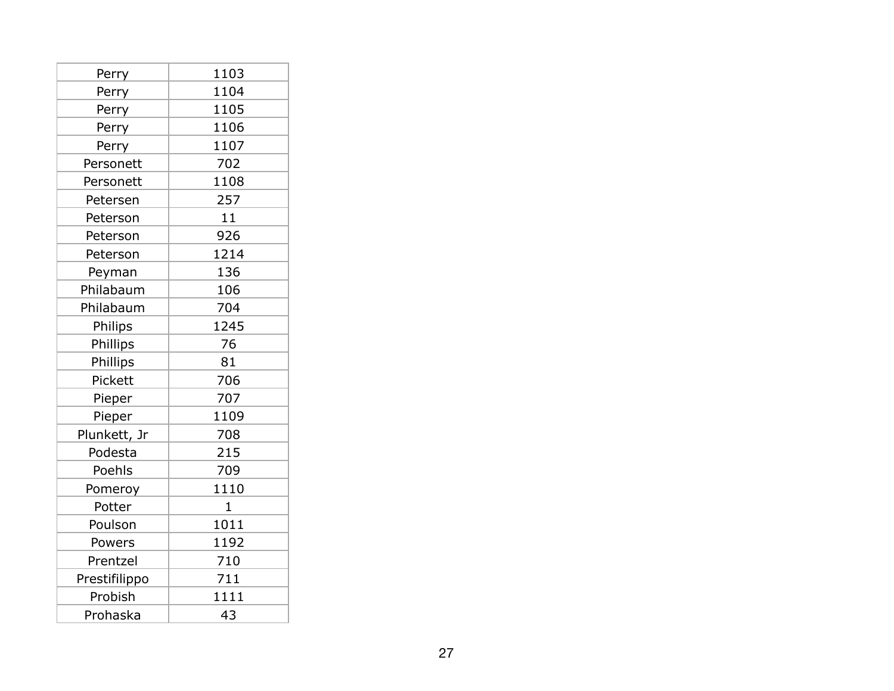| Perry         | 1103         |
|---------------|--------------|
| Perry         | 1104         |
| Perry         | 1105         |
| Perry         | 1106         |
| Perry         | 1107         |
| Personett     | 702          |
| Personett     | 1108         |
| Petersen      | 257          |
| Peterson      | 11           |
| Peterson      | 926          |
| Peterson      | 1214         |
| Peyman        | 136          |
| Philabaum     | 106          |
| Philabaum     | 704          |
| Philips       | 1245         |
| Phillips      | 76           |
| Phillips      | 81           |
| Pickett       | 706          |
| Pieper        | 707          |
| Pieper        | 1109         |
| Plunkett, Jr  | 708          |
| Podesta       | 215          |
| Poehls        | 709          |
| Pomeroy       | 1110         |
| Potter        | $\mathbf{1}$ |
| Poulson       | 1011         |
| Powers        | 1192         |
| Prentzel      | 710          |
| Prestifilippo | 711          |
| Probish       | 1111         |
| Prohaska      | 43           |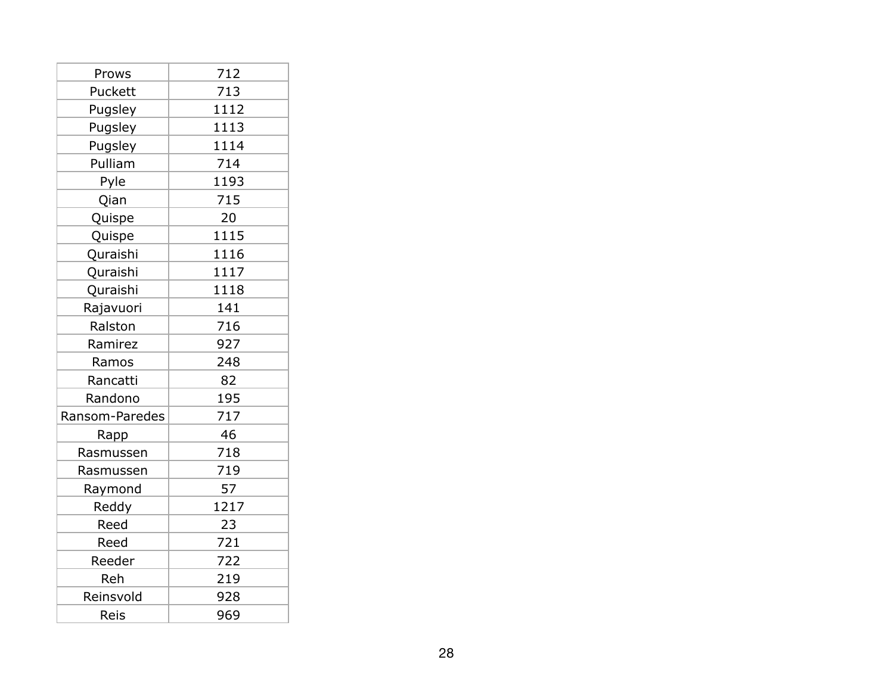| Prows          | 712  |
|----------------|------|
| Puckett        | 713  |
| Pugsley        | 1112 |
| Pugsley        | 1113 |
| Pugsley        | 1114 |
| Pulliam        | 714  |
| Pyle           | 1193 |
| Qian           | 715  |
| Quispe         | 20   |
| Quispe         | 1115 |
| Quraishi       | 1116 |
| Quraishi       | 1117 |
| Quraishi       | 1118 |
| Rajavuori      | 141  |
| Ralston        | 716  |
| Ramirez        | 927  |
| Ramos          | 248  |
| Rancatti       | 82   |
| Randono        | 195  |
| Ransom-Paredes | 717  |
| Rapp           | 46   |
| Rasmussen      | 718  |
| Rasmussen      | 719  |
| Raymond        | 57   |
| Reddy          | 1217 |
| Reed           | 23   |
| Reed           | 721  |
| Reeder         | 722  |
| Reh            | 219  |
| Reinsvold      | 928  |
| Reis           | 969  |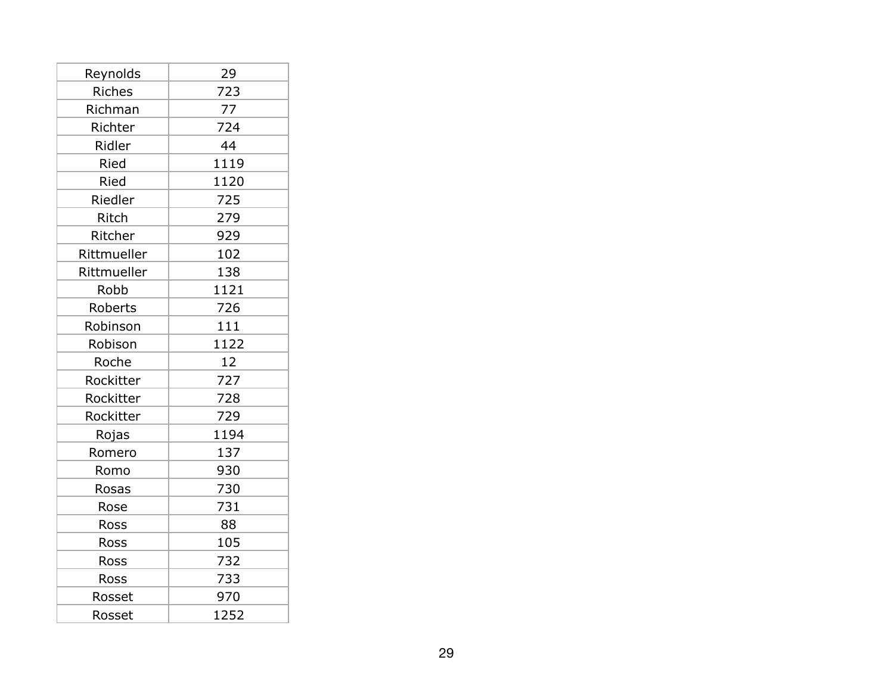| Reynolds      | 29   |
|---------------|------|
| <b>Riches</b> | 723  |
| Richman       | 77   |
| Richter       | 724  |
| Ridler        | 44   |
| Ried          | 1119 |
| Ried          | 1120 |
| Riedler       | 725  |
| Ritch         | 279  |
| Ritcher       | 929  |
| Rittmueller   | 102  |
| Rittmueller   | 138  |
| Robb          | 1121 |
| Roberts       | 726  |
| Robinson      | 111  |
| Robison       | 1122 |
| Roche         | 12   |
| Rockitter     | 727  |
| Rockitter     | 728  |
| Rockitter     | 729  |
| Rojas         | 1194 |
| Romero        | 137  |
| Romo          | 930  |
| Rosas         | 730  |
| Rose          | 731  |
| Ross          | 88   |
| Ross          | 105  |
| Ross          | 732  |
| Ross          | 733  |
| Rosset        | 970  |
| Rosset        | 1252 |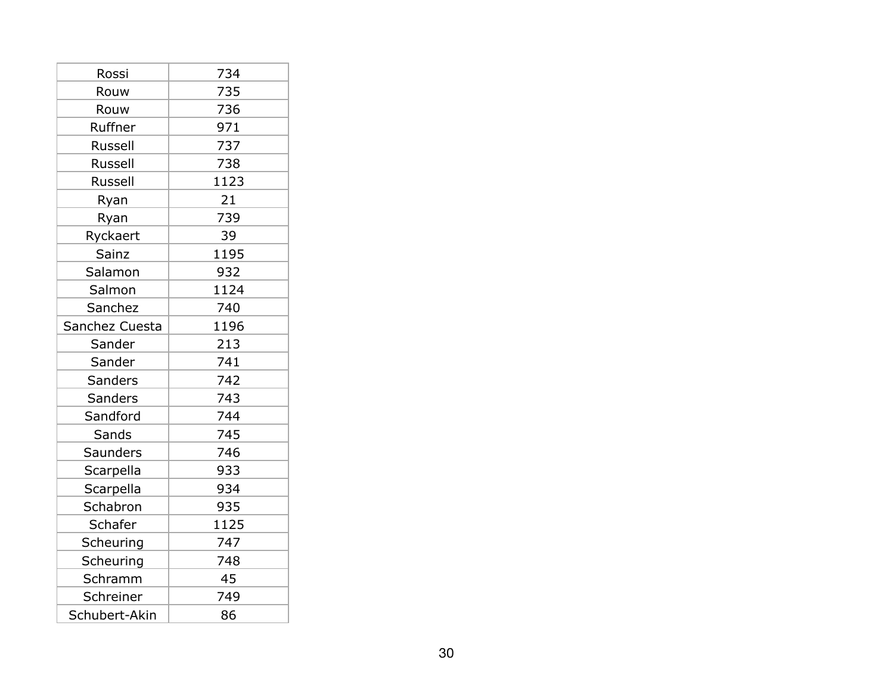| Rossi           | 734  |
|-----------------|------|
| Rouw            | 735  |
| Rouw            | 736  |
| Ruffner         | 971  |
| Russell         | 737  |
| Russell         | 738  |
| <b>Russell</b>  | 1123 |
| Ryan            | 21   |
| Ryan            | 739  |
| Ryckaert        | 39   |
| Sainz           | 1195 |
| Salamon         | 932  |
| Salmon          | 1124 |
| Sanchez         | 740  |
| Sanchez Cuesta  | 1196 |
| Sander          | 213  |
| Sander          | 741  |
| Sanders         | 742  |
| <b>Sanders</b>  | 743  |
| Sandford        | 744  |
| Sands           | 745  |
| <b>Saunders</b> | 746  |
| Scarpella       | 933  |
| Scarpella       | 934  |
| Schabron        | 935  |
| Schafer         | 1125 |
| Scheuring       | 747  |
| Scheuring       | 748  |
| Schramm         | 45   |
| Schreiner       | 749  |
| Schubert-Akin   | 86   |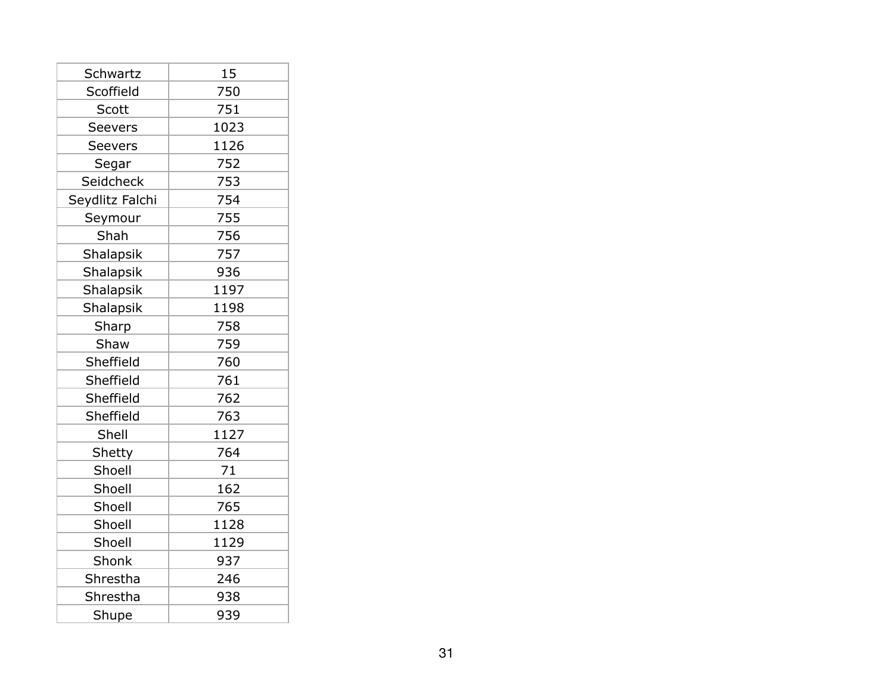| Schwartz        | 15   |
|-----------------|------|
| Scoffield       | 750  |
| Scott           | 751  |
| Seevers         | 1023 |
| <b>Seevers</b>  | 1126 |
| Segar           | 752  |
| Seidcheck       | 753  |
| Seydlitz Falchi | 754  |
| Seymour         | 755  |
| Shah            | 756  |
| Shalapsik       | 757  |
| Shalapsik       | 936  |
| Shalapsik       | 1197 |
| Shalapsik       | 1198 |
| Sharp           | 758  |
| Shaw            | 759  |
| Sheffield       | 760  |
| Sheffield       | 761  |
| Sheffield       | 762  |
| Sheffield       | 763  |
| Shell           | 1127 |
| Shetty          | 764  |
| Shoell          | 71   |
| Shoell          | 162  |
| Shoell          | 765  |
| Shoell          | 1128 |
| Shoell          | 1129 |
| Shonk           | 937  |
| Shrestha        | 246  |
| Shrestha        | 938  |
| Shupe           | 939  |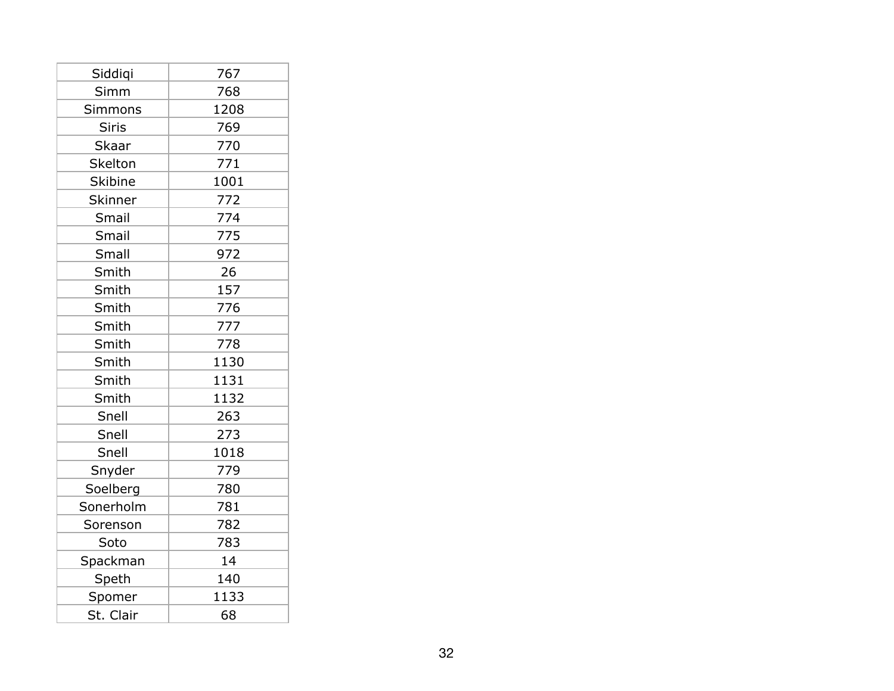| Siddiqi        | 767  |
|----------------|------|
| Simm           | 768  |
| <b>Simmons</b> | 1208 |
| <b>Siris</b>   | 769  |
| <b>Skaar</b>   | 770  |
| Skelton        | 771  |
| <b>Skibine</b> | 1001 |
| Skinner        | 772  |
| Smail          | 774  |
| Smail          | 775  |
| Small          | 972  |
| Smith          | 26   |
| Smith          | 157  |
| Smith          | 776  |
| Smith          | 777  |
| Smith          | 778  |
| Smith          | 1130 |
| Smith          | 1131 |
| Smith          | 1132 |
| Snell          | 263  |
| Snell          | 273  |
| Snell          | 1018 |
| Snyder         | 779  |
| Soelberg       | 780  |
| Sonerholm      | 781  |
| Sorenson       | 782  |
| Soto           | 783  |
| Spackman       | 14   |
| Speth          | 140  |
| Spomer         | 1133 |
| St. Clair      | 68   |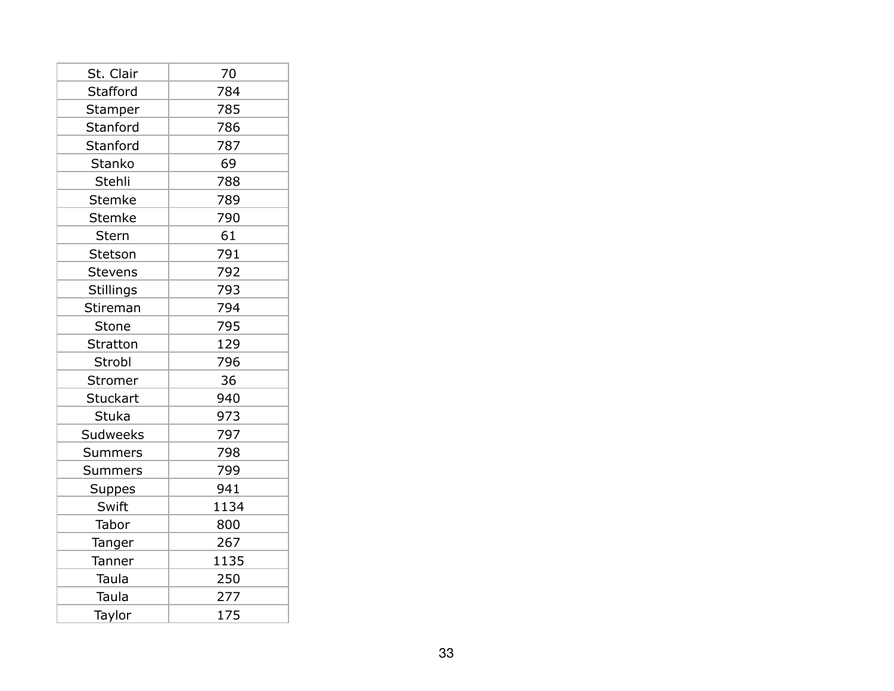| St. Clair        | 70   |
|------------------|------|
| Stafford         | 784  |
| Stamper          | 785  |
| Stanford         | 786  |
| Stanford         | 787  |
| <b>Stanko</b>    | 69   |
| Stehli           | 788  |
| <b>Stemke</b>    | 789  |
| <b>Stemke</b>    | 790  |
| Stern            | 61   |
| Stetson          | 791  |
| <b>Stevens</b>   | 792  |
| <b>Stillings</b> | 793  |
| Stireman         | 794  |
| Stone            | 795  |
| Stratton         | 129  |
| Strobl           | 796  |
| Stromer          | 36   |
| Stuckart         | 940  |
| <b>Stuka</b>     | 973  |
| <b>Sudweeks</b>  | 797  |
| <b>Summers</b>   | 798  |
| <b>Summers</b>   | 799  |
| <b>Suppes</b>    | 941  |
| Swift            | 1134 |
| Tabor            | 800  |
| Tanger           | 267  |
| Tanner           | 1135 |
| Taula            | 250  |
| Taula            | 277  |
| Taylor           | 175  |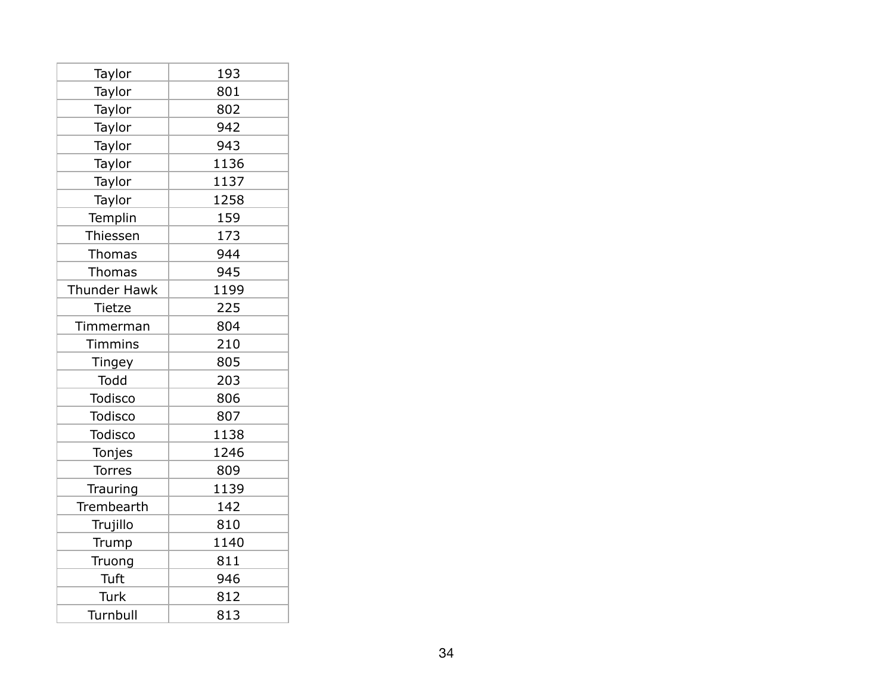| Taylor              | 193  |
|---------------------|------|
| Taylor              | 801  |
| Taylor              | 802  |
| Taylor              | 942  |
| Taylor              | 943  |
| Taylor              | 1136 |
| Taylor              | 1137 |
| Taylor              | 1258 |
| Templin             | 159  |
| Thiessen            | 173  |
| Thomas              | 944  |
| Thomas              | 945  |
| <b>Thunder Hawk</b> | 1199 |
| <b>Tietze</b>       | 225  |
| Timmerman           | 804  |
| <b>Timmins</b>      | 210  |
| <b>Tingey</b>       | 805  |
| Todd                | 203  |
| Todisco             | 806  |
| <b>Todisco</b>      | 807  |
| <b>Todisco</b>      | 1138 |
| Tonjes              | 1246 |
| <b>Torres</b>       | 809  |
| Trauring            | 1139 |
| Trembearth          | 142  |
| Trujillo            | 810  |
| Trump               | 1140 |
| Truong              | 811  |
| Tuft                | 946  |
| Turk                | 812  |
| Turnbull            | 813  |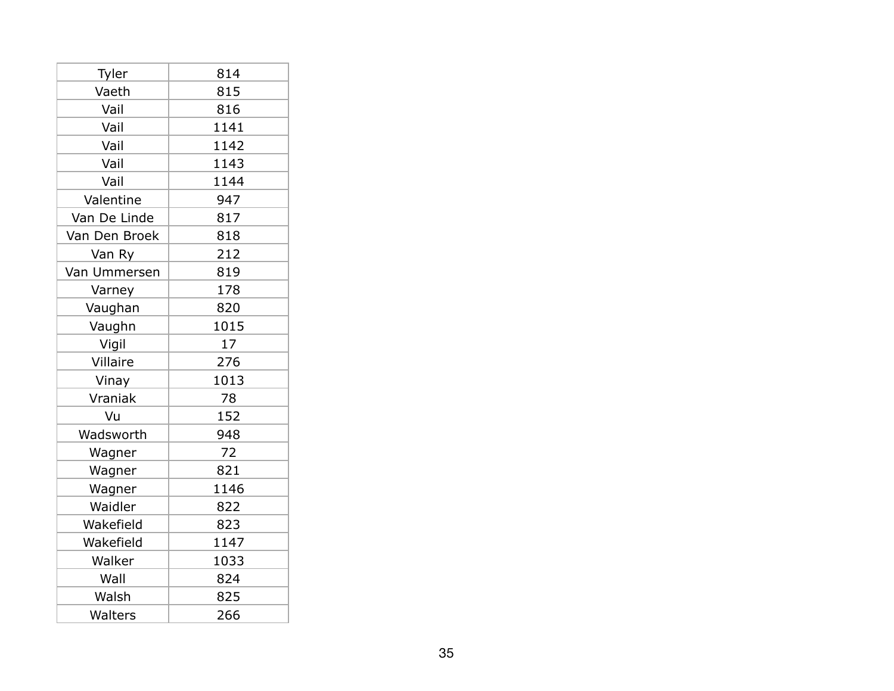| Tyler         | 814  |
|---------------|------|
| Vaeth         | 815  |
| Vail          | 816  |
| Vail          | 1141 |
| Vail          | 1142 |
| Vail          | 1143 |
| Vail          | 1144 |
| Valentine     | 947  |
| Van De Linde  | 817  |
| Van Den Broek | 818  |
| Van Ry        | 212  |
| Van Ummersen  | 819  |
| Varney        | 178  |
| Vaughan       | 820  |
| Vaughn        | 1015 |
| Vigil         | 17   |
| Villaire      | 276  |
| Vinay         | 1013 |
| Vraniak       | 78   |
| Vu            | 152  |
| Wadsworth     | 948  |
| Wagner        | 72   |
| Wagner        | 821  |
| Wagner        | 1146 |
| Waidler       | 822  |
| Wakefield     | 823  |
| Wakefield     | 1147 |
| Walker        | 1033 |
| Wall          | 824  |
| Walsh         | 825  |
| Walters       | 266  |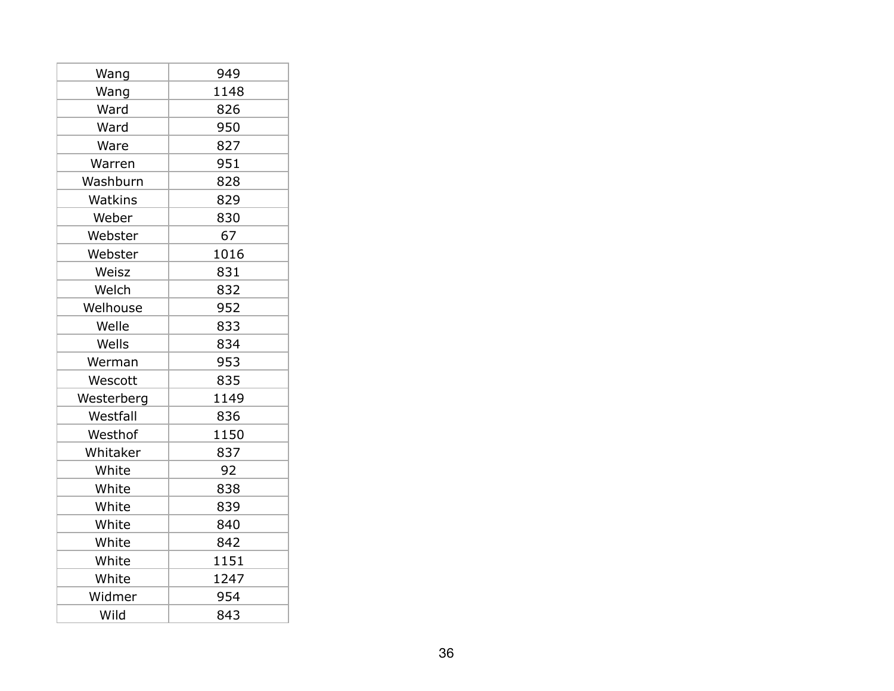| Wang       | 949  |
|------------|------|
| Wang       | 1148 |
| Ward       | 826  |
| Ward       | 950  |
| Ware       | 827  |
| Warren     | 951  |
| Washburn   | 828  |
| Watkins    | 829  |
| Weber      | 830  |
| Webster    | 67   |
| Webster    | 1016 |
| Weisz      | 831  |
| Welch      | 832  |
| Welhouse   | 952  |
| Welle      | 833  |
| Wells      | 834  |
| Werman     | 953  |
| Wescott    | 835  |
| Westerberg | 1149 |
| Westfall   | 836  |
| Westhof    | 1150 |
| Whitaker   | 837  |
| White      | 92   |
| White      | 838  |
| White      | 839  |
| White      | 840  |
| White      | 842  |
| White      | 1151 |
| White      | 1247 |
| Widmer     | 954  |
| Wild       | 843  |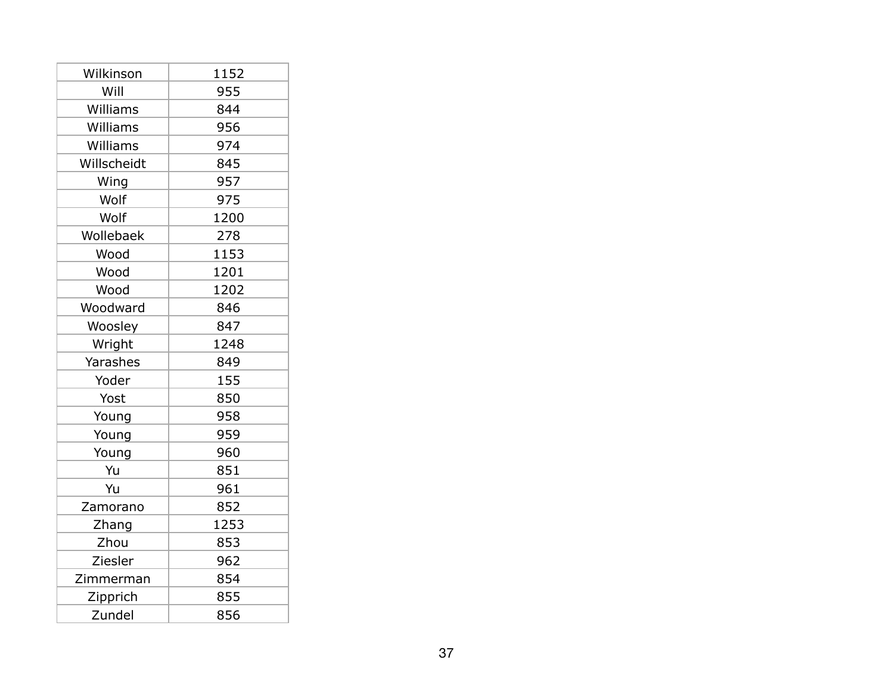| Wilkinson   | 1152 |
|-------------|------|
| Will        | 955  |
| Williams    | 844  |
| Williams    | 956  |
| Williams    | 974  |
| Willscheidt | 845  |
| Wing        | 957  |
| Wolf        | 975  |
| Wolf        | 1200 |
| Wollebaek   | 278  |
| Wood        | 1153 |
| Wood        | 1201 |
| Wood        | 1202 |
| Woodward    | 846  |
| Woosley     | 847  |
| Wright      | 1248 |
| Yarashes    | 849  |
| Yoder       | 155  |
| Yost        | 850  |
| Young       | 958  |
| Young       | 959  |
| Young       | 960  |
| Yu          | 851  |
| Yu          | 961  |
| Zamorano    | 852  |
| Zhang       | 1253 |
| Zhou        | 853  |
| Ziesler     | 962  |
| Zimmerman   | 854  |
| Zipprich    | 855  |
| Zundel      | 856  |